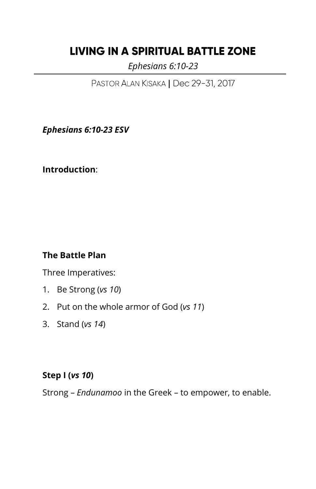# **LIVING IN A SPIRITUAL BATTLE ZONE**

 *Ephesians 6:10-23*

PASTOR ALAN KISAKA | Dec 29-31, 2017

*Ephesians 6:10-23 ESV*

**Introduction**:

#### **The Battle Plan**

Three Imperatives:

- 1. Be Strong (*vs 10*)
- 2. Put on the whole armor of God (*vs 11*)
- 3. Stand (*vs 14*)

#### **Step I (***vs 10***)**

Strong – *Endunamoo* in the Greek – to empower, to enable.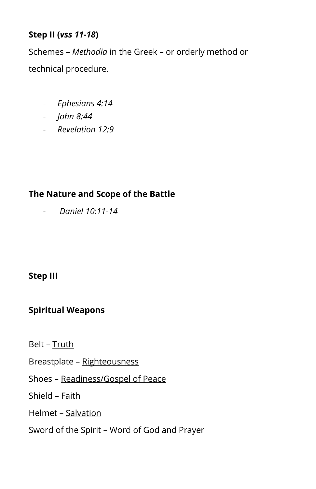#### **Step II (***vss 11-18***)**

Schemes – *Methodia* in the Greek – or orderly method or technical procedure.

- *Ephesians 4:14*
- *John 8:44*
- *Revelation 12:9*

# **The Nature and Scope of the Battle**

- *Daniel 10:11-14*

# **Step III**

# **Spiritual Weapons**

- Belt Truth
- Breastplate Righteousness
- Shoes Readiness/Gospel of Peace
- Shield Faith
- Helmet Salvation
- Sword of the Spirit Word of God and Prayer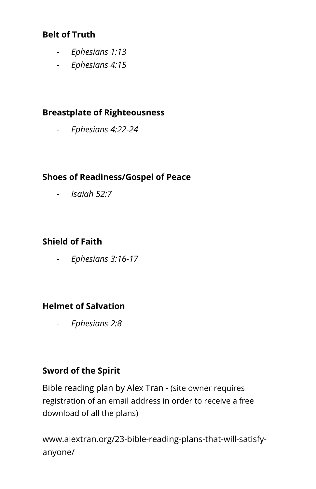### **Belt of Truth**

- *Ephesians 1:13*
- *Ephesians 4:15*

### **Breastplate of Righteousness**

- *Ephesians 4:22-24*

### **Shoes of Readiness/Gospel of Peace**

- *Isaiah 52:7*

# **Shield of Faith**

- *Ephesians 3:16-17*

### **Helmet of Salvation**

- *Ephesians 2:8*

# **Sword of the Spirit**

Bible reading plan by Alex Tran - (site owner requires registration of an email address in order to receive a free download of all the plans)

www.alextran.org/23-bible-reading-plans-that-will-satisfyanyone/